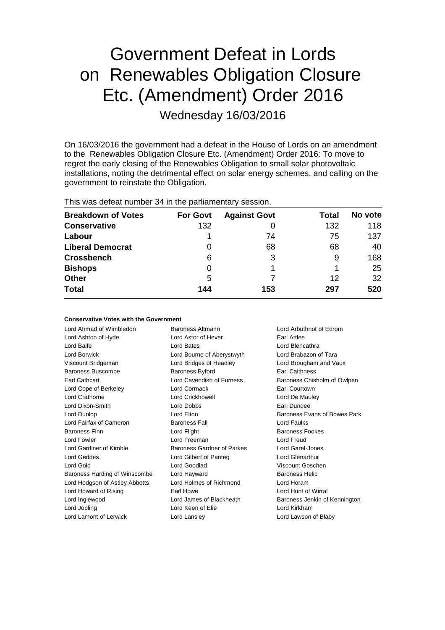# Government Defeat in Lords on Renewables Obligation Closure Etc. (Amendment) Order 2016 Wednesday 16/03/2016

On 16/03/2016 the government had a defeat in the House of Lords on an amendment to the Renewables Obligation Closure Etc. (Amendment) Order 2016: To move to regret the early closing of the Renewables Obligation to small solar photovoltaic installations, noting the detrimental effect on solar energy schemes, and calling on the government to reinstate the Obligation.

| <b>THIS WAS GETERL HUTTIVEL O<del>T</del> IIT LITE PAILIALITELILALY SESSIOLI.</b> |                 |                     |       |         |  |
|-----------------------------------------------------------------------------------|-----------------|---------------------|-------|---------|--|
| <b>Breakdown of Votes</b>                                                         | <b>For Govt</b> | <b>Against Govt</b> | Total | No vote |  |
| <b>Conservative</b>                                                               | 132             |                     | 132   | 118     |  |
| Labour                                                                            |                 | 74                  | 75    | 137     |  |
| <b>Liberal Democrat</b>                                                           | 0               | 68                  | 68    | 40      |  |
| <b>Crossbench</b>                                                                 | 6               |                     | 9     | 168     |  |
| <b>Bishops</b>                                                                    | 0               |                     |       | 25      |  |
| <b>Other</b>                                                                      | 5               |                     | 12    | 32      |  |
| <b>Total</b>                                                                      | 144             | 153                 | 297   | 520     |  |
|                                                                                   |                 |                     |       |         |  |

## This was defeat number 34 in the parliamentary session.

### **Conservative Votes with the Government**

| Lord Ahmad of Wimbledon        | Baroness Altmann           | Lord Arbuthnot of Edrom       |
|--------------------------------|----------------------------|-------------------------------|
| Lord Ashton of Hyde            | Lord Astor of Hever        | Earl Attlee                   |
| Lord Balfe                     | <b>Lord Bates</b>          | Lord Blencathra               |
| Lord Borwick                   | Lord Bourne of Aberystwyth | Lord Brabazon of Tara         |
| Viscount Bridgeman             | Lord Bridges of Headley    | Lord Brougham and Vaux        |
| Baroness Buscombe              | Baroness Byford            | <b>Earl Caithness</b>         |
| Earl Cathcart                  | Lord Cavendish of Furness  | Baroness Chisholm of Owlpen   |
| Lord Cope of Berkeley          | Lord Cormack               | Earl Courtown                 |
| Lord Crathorne                 | Lord Crickhowell           | Lord De Mauley                |
| Lord Dixon-Smith               | <b>Lord Dobbs</b>          | Earl Dundee                   |
| Lord Dunlop                    | Lord Elton                 | Baroness Evans of Bowes Park  |
| Lord Fairfax of Cameron        | <b>Baroness Fall</b>       | <b>Lord Faulks</b>            |
| <b>Baroness Finn</b>           | Lord Flight                | <b>Baroness Fookes</b>        |
| Lord Fowler                    | Lord Freeman               | Lord Freud                    |
| Lord Gardiner of Kimble        | Baroness Gardner of Parkes | Lord Garel-Jones              |
| <b>Lord Geddes</b>             | Lord Gilbert of Panteg     | <b>Lord Glenarthur</b>        |
| Lord Gold                      | Lord Goodlad               | Viscount Goschen              |
| Baroness Harding of Winscombe  | Lord Hayward               | <b>Baroness Helic</b>         |
| Lord Hodgson of Astley Abbotts | Lord Holmes of Richmond    | Lord Horam                    |
| Lord Howard of Rising          | Earl Howe                  | Lord Hunt of Wirral           |
| Lord Inglewood                 | Lord James of Blackheath   | Baroness Jenkin of Kennington |
| Lord Jopling                   | Lord Keen of Elie          | Lord Kirkham                  |
| Lord Lamont of Lerwick         | Lord Lansley               | Lord Lawson of Blaby          |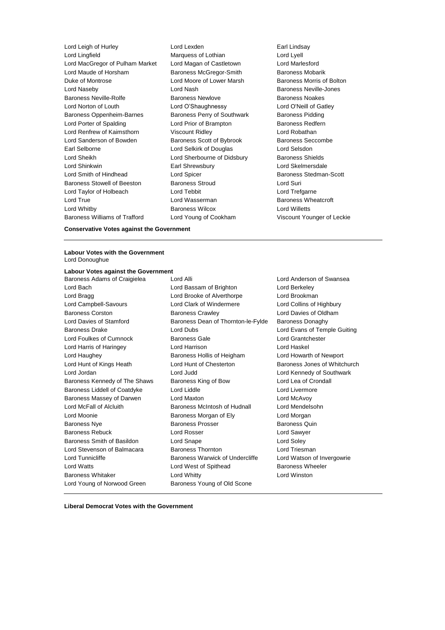Lord Leigh of Hurley **Lord Lexden** Lord Lexden **Earl Lindsay**<br>
Lord Lindfield **Conduct Lord Lord Lord Lord Lord Lindsay** Lord Lingfield **Marquess of Lothian**<br>
Lord MacGregor of Pulham Market Lord Magan of Castletown Lord Marlesford Lord MacGregor of Pulham Market Lord Magan of Castletown Lord Maude of Horsham Baroness McGregor-Smith Baroness Mobarik Duke of Montrose The Lord Moore of Lower Marsh Baroness Morris of Bolton Lord Naseby Lord Nash Baroness Neville-Jones Baroness Neville-Rolfe Baroness Newlove Baroness Noakes Lord Norton of Louth Lord O'Shaughnessy Lord O'Neill of Gatley Baroness Oppenheim-Barnes Baroness Perry of Southwark Baroness Pidding Lord Porter of Spalding **Lord Prior of Brampton** Baroness Redfern Lord Renfrew of Kaimsthorn Viscount Ridley Lord Robathan Lord Sanderson of Bowden Baroness Scott of Bybrook Baroness Seccombe Earl Selborne Lord Selkirk of Douglas Lord Selsdon Lord Sheikh Lord Sherbourne of Didsbury Baroness Shields Lord Shinkwin Earl Shrewsbury Lord Skelmersdale Lord Smith of Hindhead Lord Spicer Controller Baroness Stedman-Scott Baroness Stowell of Beeston Baroness Stroud Baroness Stroud Lord Suri Lord Taylor of Holbeach Lord Tebbit Lord Trefgarne Lord True **Lord Wasserman** Baroness Wheatcroft Lord Whitby Baroness Wilcox Lord Willetts Baroness Williams of Trafford Lord Young of Cookham Viscount Younger of Leckie

**Conservative Votes against the Government**

#### **Labour Votes with the Government** Lord Donoughue

### **Labour Votes against the Government**

Lord Young of Norwood Green Baroness Young of Old Scone

Baroness Adams of Craigielea Lord Alli Lord Anderson of Swansea Lord Bach Lord Bassam of Brighton Lord Berkeley Lord Bragg **Lord Brooke of Alverthorpe** Lord Brookman Lord Campbell-Savours Lord Clark of Windermere Lord Collins of Highbury Baroness Corston Baroness Crawley Lord Davies of Oldham Lord Davies of Stamford Baroness Dean of Thornton-le-Fylde Baroness Donaghy Baroness Drake Lord Dubs Lord Evans of Temple Guiting Lord Foulkes of Cumnock Baroness Gale Lord Grantchester Lord Harris of Haringey Lord Harrison Lord Haskel Lord Haughey **Baroness Hollis of Heigham** Lord Howarth of Newport Lord Hunt of Kings Heath Lord Hunt of Chesterton Baroness Jones of Whitchurch Lord Jordan Lord Judd Lord Kennedy of Southwark Baroness Kennedy of The Shaws Baroness King of Bow Lord Lea of Crondall Baroness Liddell of Coatdyke Lord Liddle Lord Liddle Lord Livermore Baroness Massey of Darwen Lord Maxton Lord McAvoy Lord McFall of Alcluith Baroness McIntosh of Hudnall Lord Mendelsohn Lord Moonie Baroness Morgan of Ely Lord Morgan Baroness Nye **Baroness Prosser** Baroness Prosser Baroness Quin Baroness Rebuck Lord Rosser Lord Sawyer Baroness Smith of Basildon Lord Snape Lord Soley Lord Stevenson of Balmacara Baroness Thornton **Baroness Thornton** Lord Triesman Lord Tunnicliffe **Baroness Warwick of Undercliffe** Lord Watson of Invergowrie Lord Watts **Lord West of Spithead** Baroness Wheeler Baroness Whitaker **Lord Whitty** Lord Winston **Lord Winston** 

**Liberal Democrat Votes with the Government**